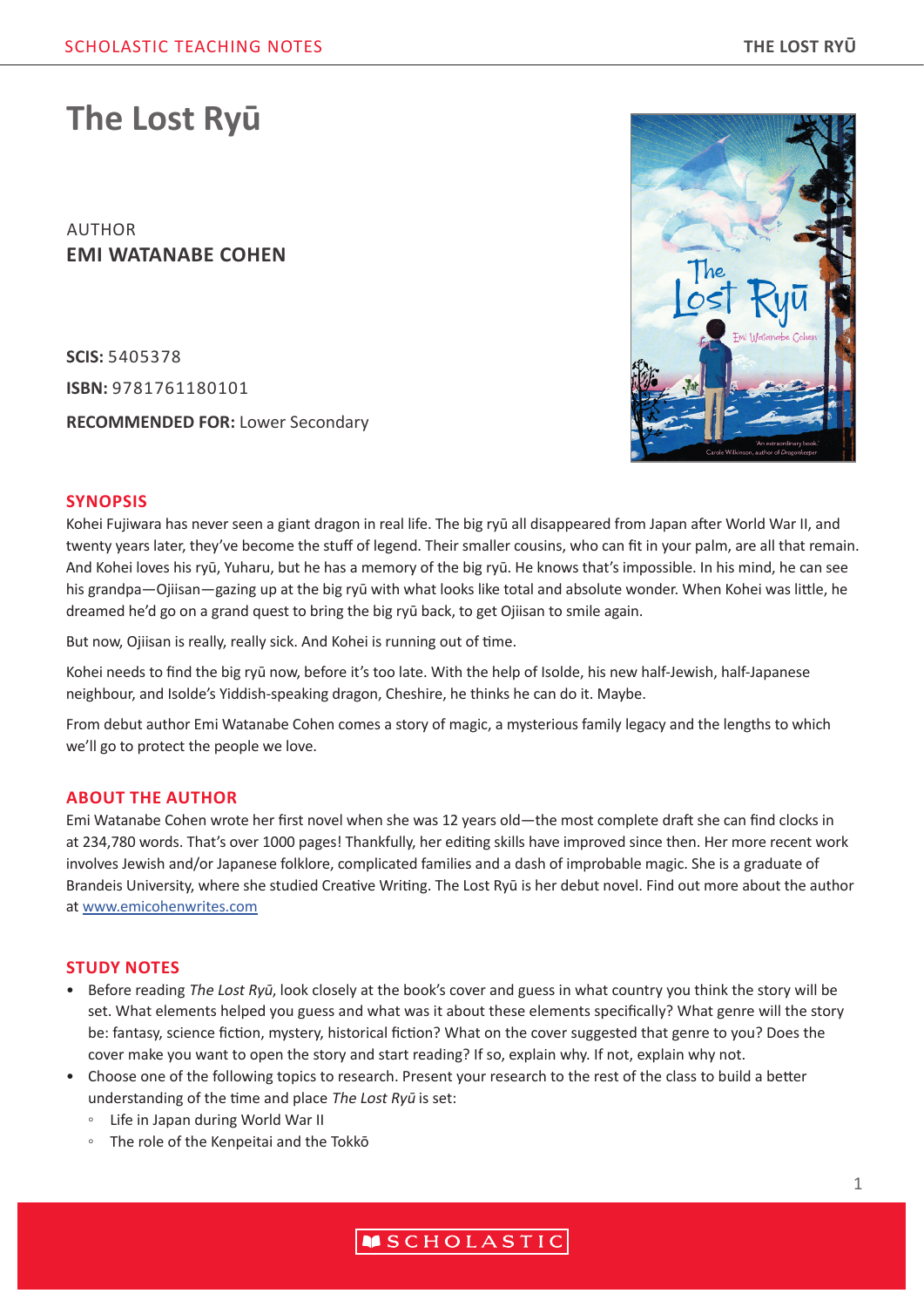# **The Lost Ryū**

AUTHOR **EMI WATANABE COHEN**

**SCIS:** 5405378 **ISBN:** 9781761180101 **RECOMMENDED FOR:** Lower Secondary



# **SYNOPSIS**

Kohei Fujiwara has never seen a giant dragon in real life. The big ryū all disappeared from Japan after World War II, and twenty years later, they've become the stuff of legend. Their smaller cousins, who can fit in your palm, are all that remain. And Kohei loves his ryū, Yuharu, but he has a memory of the big ryū. He knows that's impossible. In his mind, he can see his grandpa—Ojiisan—gazing up at the big ryū with what looks like total and absolute wonder. When Kohei was little, he dreamed he'd go on a grand quest to bring the big ryū back, to get Ojiisan to smile again.

But now, Ojiisan is really, really sick. And Kohei is running out of time.

Kohei needs to find the big ryū now, before it's too late. With the help of Isolde, his new half-Jewish, half-Japanese neighbour, and Isolde's Yiddish-speaking dragon, Cheshire, he thinks he can do it. Maybe.

From debut author Emi Watanabe Cohen comes a story of magic, a mysterious family legacy and the lengths to which we'll go to protect the people we love.

## **ABOUT THE AUTHOR**

Emi Watanabe Cohen wrote her first novel when she was 12 years old—the most complete draft she can find clocks in at 234,780 words. That's over 1000 pages! Thankfully, her editing skills have improved since then. Her more recent work involves Jewish and/or Japanese folklore, complicated families and a dash of improbable magic. She is a graduate of Brandeis University, where she studied Creative Writing. The Lost Ryū is her debut novel. Find out more about the author at www.emicohenwrites.com

## **STUDY NOTES**

- Before reading The Lost Ryū, look closely at the book's cover and guess in what country you think the story will be set. What elements helped you guess and what was it about these elements specifically? What genre will the story be: fantasy, science fiction, mystery, historical fiction? What on the cover suggested that genre to you? Does the cover make you want to open the story and start reading? If so, explain why. If not, explain why not.
- Choose one of the following topics to research. Present your research to the rest of the class to build a better understanding of the time and place The Lost Ryū is set:
	- Life in Japan during World War II
	- The role of the Kenpeitai and the Tokkō